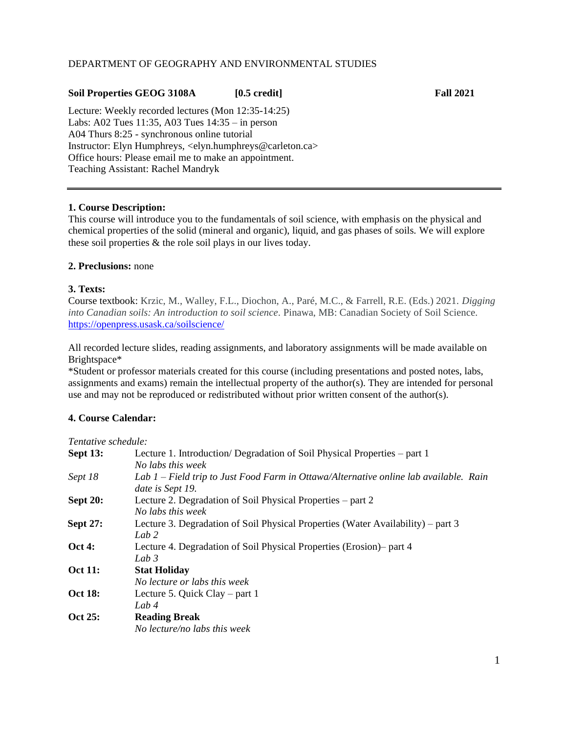## DEPARTMENT OF GEOGRAPHY AND ENVIRONMENTAL STUDIES

## **Soil Properties GEOG 3108A [0.5 credit] Fall 2021**

Lecture: Weekly recorded lectures (Mon 12:35-14:25) Labs: A02 Tues 11:35, A03 Tues 14:35 – in person A04 Thurs 8:25 - synchronous online tutorial Instructor: Elyn Humphreys, <elyn.humphreys@carleton.ca> Office hours: Please email me to make an appointment. Teaching Assistant: Rachel Mandryk

## **1. Course Description:**

This course will introduce you to the fundamentals of soil science, with emphasis on the physical and chemical properties of the solid (mineral and organic), liquid, and gas phases of soils. We will explore these soil properties & the role soil plays in our lives today.

## **2. Preclusions:** none

### **3. Texts:**

Course textbook: Krzic, M., Walley, F.L., Diochon, A., Paré, M.C., & Farrell, R.E. (Eds.) 2021. *Digging into Canadian soils: An introduction to soil science.* Pinawa, MB: Canadian Society of Soil Science. <https://openpress.usask.ca/soilscience/>

All recorded lecture slides, reading assignments, and laboratory assignments will be made available on Brightspace\*

\*Student or professor materials created for this course (including presentations and posted notes, labs, assignments and exams) remain the intellectual property of the author(s). They are intended for personal use and may not be reproduced or redistributed without prior written consent of the author(s).

## **4. Course Calendar:**

| Tentative schedule: |                                                                                                           |  |  |
|---------------------|-----------------------------------------------------------------------------------------------------------|--|--|
| <b>Sept 13:</b>     | Lecture 1. Introduction/Degradation of Soil Physical Properties – part 1                                  |  |  |
|                     | No labs this week                                                                                         |  |  |
| Sept 18             | Lab 1 – Field trip to Just Food Farm in Ottawa/Alternative online lab available. Rain<br>date is Sept 19. |  |  |
| <b>Sept 20:</b>     | Lecture 2. Degradation of Soil Physical Properties – part 2                                               |  |  |
|                     | No labs this week                                                                                         |  |  |
| <b>Sept 27:</b>     | Lecture 3. Degradation of Soil Physical Properties (Water Availability) – part 3<br>Lab $2$               |  |  |
| <b>Oct 4:</b>       | Lecture 4. Degradation of Soil Physical Properties (Erosion) – part 4                                     |  |  |
|                     | Lab $3$                                                                                                   |  |  |
| <b>Oct 11:</b>      | <b>Stat Holiday</b>                                                                                       |  |  |
|                     | No lecture or labs this week                                                                              |  |  |
| <b>Oct 18:</b>      | Lecture 5. Quick Clay – part 1                                                                            |  |  |
|                     | Lab $4$                                                                                                   |  |  |
| Oct 25:             | <b>Reading Break</b>                                                                                      |  |  |
|                     | No lecture/no labs this week                                                                              |  |  |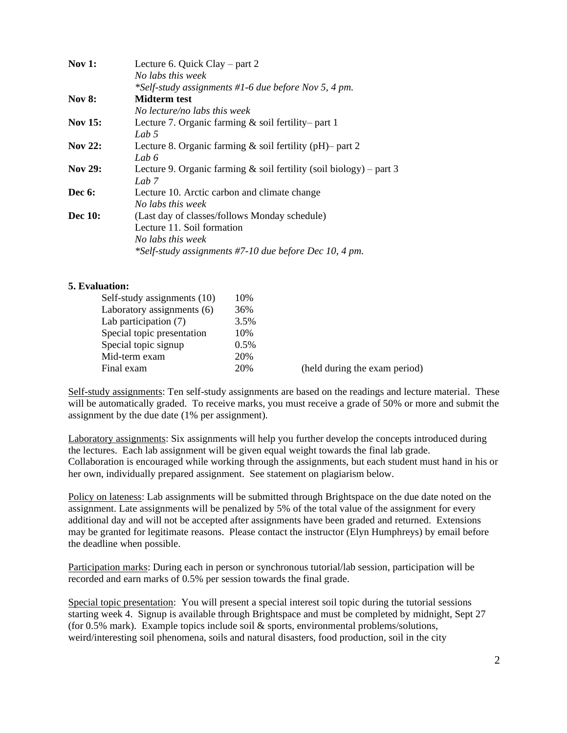| <b>Nov 1:</b>  | Lecture 6. Quick Clay – part 2                                         |  |  |
|----------------|------------------------------------------------------------------------|--|--|
|                | No labs this week                                                      |  |  |
|                | *Self-study assignments #1-6 due before Nov 5, 4 pm.                   |  |  |
| <b>Nov 8:</b>  | Midterm test                                                           |  |  |
|                | No lecture/no labs this week                                           |  |  |
| <b>Nov 15:</b> | Lecture 7. Organic farming $\&$ soil fertility-part 1                  |  |  |
|                | Lab 5                                                                  |  |  |
| <b>Nov 22:</b> | Lecture 8. Organic farming $\&$ soil fertility (pH)– part 2            |  |  |
|                | Lab 6                                                                  |  |  |
| <b>Nov 29:</b> | Lecture 9. Organic farming $\&$ soil fertility (soil biology) – part 3 |  |  |
|                | Lab 7                                                                  |  |  |
| Dec 6:         | Lecture 10. Arctic carbon and climate change                           |  |  |
|                | No labs this week                                                      |  |  |
| <b>Dec</b> 10: | (Last day of classes/follows Monday schedule)                          |  |  |
|                | Lecture 11. Soil formation                                             |  |  |
|                | No labs this week                                                      |  |  |
|                | *Self-study assignments #7-10 due before Dec 10, 4 pm.                 |  |  |

### **5. Evaluation:**

| Self-study assignments (10) | 10%  |                               |
|-----------------------------|------|-------------------------------|
| Laboratory assignments (6)  | 36%  |                               |
| Lab participation (7)       | 3.5% |                               |
| Special topic presentation  | 10%  |                               |
| Special topic signup        | 0.5% |                               |
| Mid-term exam               | 20%  |                               |
| Final exam                  | 20%  | (held during the exam period) |
|                             |      |                               |

Self-study assignments: Ten self-study assignments are based on the readings and lecture material. These will be automatically graded. To receive marks, you must receive a grade of 50% or more and submit the assignment by the due date (1% per assignment).

Laboratory assignments: Six assignments will help you further develop the concepts introduced during the lectures. Each lab assignment will be given equal weight towards the final lab grade. Collaboration is encouraged while working through the assignments, but each student must hand in his or her own, individually prepared assignment. See statement on plagiarism below.

Policy on lateness: Lab assignments will be submitted through Brightspace on the due date noted on the assignment. Late assignments will be penalized by 5% of the total value of the assignment for every additional day and will not be accepted after assignments have been graded and returned. Extensions may be granted for legitimate reasons. Please contact the instructor (Elyn Humphreys) by email before the deadline when possible.

Participation marks: During each in person or synchronous tutorial/lab session, participation will be recorded and earn marks of 0.5% per session towards the final grade.

Special topic presentation: You will present a special interest soil topic during the tutorial sessions starting week 4. Signup is available through Brightspace and must be completed by midnight, Sept 27 (for 0.5% mark). Example topics include soil & sports, environmental problems/solutions, weird/interesting soil phenomena, soils and natural disasters, food production, soil in the city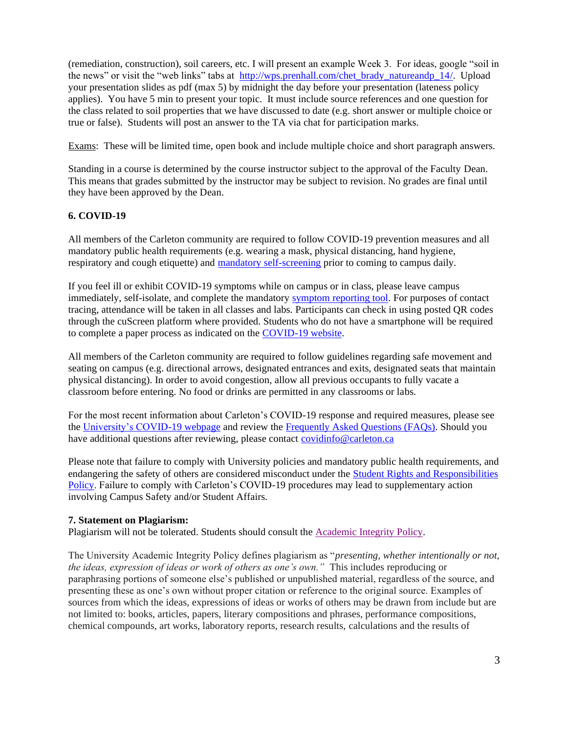(remediation, construction), soil careers, etc. I will present an example Week 3. For ideas, google "soil in the news" or visit the "web links" tabs at [http://wps.prenhall.com/chet\\_brady\\_natureandp\\_14/.](http://wps.prenhall.com/chet_brady_natureandp_14/) Upload your presentation slides as pdf (max 5) by midnight the day before your presentation (lateness policy applies). You have 5 min to present your topic. It must include source references and one question for the class related to soil properties that we have discussed to date (e.g. short answer or multiple choice or true or false). Students will post an answer to the TA via chat for participation marks.

Exams: These will be limited time, open book and include multiple choice and short paragraph answers.

Standing in a course is determined by the course instructor subject to the approval of the Faculty Dean. This means that grades submitted by the instructor may be subject to revision. No grades are final until they have been approved by the Dean.

# **6. COVID-19**

All members of the Carleton community are required to follow COVID-19 prevention measures and all mandatory public health requirements (e.g. wearing a mask, physical distancing, hand hygiene, respiratory and cough etiquette) and [mandatory self-screening](https://carleton.ca/covid19/screening/) prior to coming to campus daily.

If you feel ill or exhibit COVID-19 symptoms while on campus or in class, please leave campus immediately, self-isolate, and complete the mandatory [symptom reporting tool.](https://carleton.ca/covid19/covid-19-symptom-reporting/) For purposes of contact tracing, attendance will be taken in all classes and labs. Participants can check in using posted QR codes through the cuScreen platform where provided. Students who do not have a smartphone will be required to complete a paper process as indicated on the [COVID-19 website.](http://carleton.ca/covid19)

All members of the Carleton community are required to follow guidelines regarding safe movement and seating on campus (e.g. directional arrows, designated entrances and exits, designated seats that maintain physical distancing). In order to avoid congestion, allow all previous occupants to fully vacate a classroom before entering. No food or drinks are permitted in any classrooms or labs.

For the most recent information about Carleton's COVID-19 response and required measures, please see the [University's COVID-19 webpage](https://carleton.ca/covid19/) and review the [Frequently Asked Questions \(FAQs\).](https://carleton.ca/covid19/faq/) Should you have additional questions after reviewing, please contact [covidinfo@carleton.ca](mailto:covidinfo@carleton.ca)

Please note that failure to comply with University policies and mandatory public health requirements, and endangering the safety of others are considered misconduct under the [Student Rights and Responsibilities](https://carleton.ca/studentaffairs/student-rights-and-responsibilities/)  [Policy.](https://carleton.ca/studentaffairs/student-rights-and-responsibilities/) Failure to comply with Carleton's COVID-19 procedures may lead to supplementary action involving Campus Safety and/or Student Affairs.

## **7. Statement on Plagiarism:**

Plagiarism will not be tolerated. Students should consult the [Academic Integrity Policy.](https://carleton.ca/registrar/wp-content/uploads/Academic-Integrity-policy-June-2021.pdf)

The University Academic Integrity Policy defines plagiarism as "*presenting, whether intentionally or not, the ideas, expression of ideas or work of others as one's own."* This includes reproducing or paraphrasing portions of someone else's published or unpublished material, regardless of the source, and presenting these as one's own without proper citation or reference to the original source. Examples of sources from which the ideas, expressions of ideas or works of others may be drawn from include but are not limited to: books, articles, papers, literary compositions and phrases, performance compositions, chemical compounds, art works, laboratory reports, research results, calculations and the results of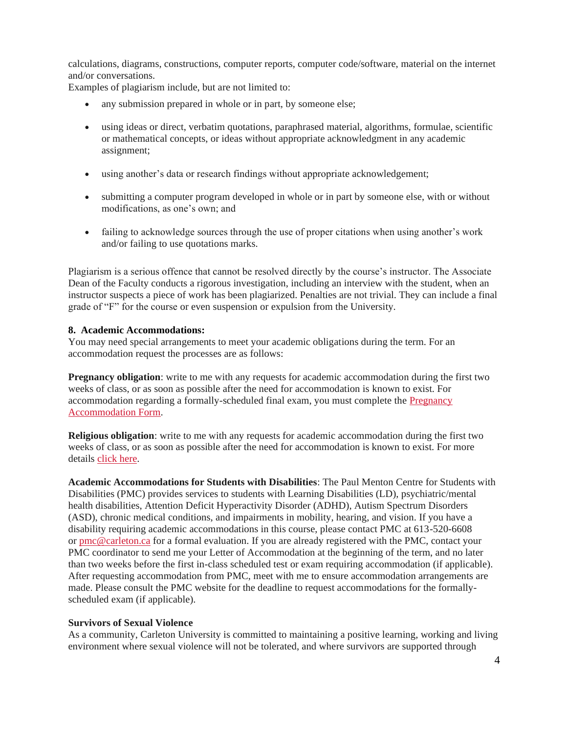calculations, diagrams, constructions, computer reports, computer code/software, material on the internet and/or conversations.

Examples of plagiarism include, but are not limited to:

- any submission prepared in whole or in part, by someone else;
- using ideas or direct, verbatim quotations, paraphrased material, algorithms, formulae, scientific or mathematical concepts, or ideas without appropriate acknowledgment in any academic assignment;
- using another's data or research findings without appropriate acknowledgement;
- submitting a computer program developed in whole or in part by someone else, with or without modifications, as one's own; and
- failing to acknowledge sources through the use of proper citations when using another's work and/or failing to use quotations marks.

Plagiarism is a serious offence that cannot be resolved directly by the course's instructor. The Associate Dean of the Faculty conducts a rigorous investigation, including an interview with the student, when an instructor suspects a piece of work has been plagiarized. Penalties are not trivial. They can include a final grade of "F" for the course or even suspension or expulsion from the University.

#### **8. Academic Accommodations:**

You may need special arrangements to meet your academic obligations during the term. For an accommodation request the processes are as follows:

**Pregnancy obligation**: write to me with any requests for academic accommodation during the first two weeks of class, or as soon as possible after the need for accommodation is known to exist. For accommodation regarding a formally-scheduled final exam, you must complete the [Pregnancy](https://carleton.ca/equity/contact/form-pregnancy-accommodation/)  [Accommodation Form.](https://carleton.ca/equity/contact/form-pregnancy-accommodation/)

**Religious obligation**: write to me with any requests for academic accommodation during the first two weeks of class, or as soon as possible after the need for accommodation is known to exist. For more details [click here.](https://carleton.ca/equity/focus/discrimination-harassment/religious-spiritual-observances/)

**Academic Accommodations for Students with Disabilities**: The Paul Menton Centre for Students with Disabilities (PMC) provides services to students with Learning Disabilities (LD), psychiatric/mental health disabilities, Attention Deficit Hyperactivity Disorder (ADHD), Autism Spectrum Disorders (ASD), chronic medical conditions, and impairments in mobility, hearing, and vision. If you have a disability requiring academic accommodations in this course, please contact PMC at 613-520-6608 or [pmc@carleton.ca](mailto:pmc@carleton.ca) for a formal evaluation. If you are already registered with the PMC, contact your PMC coordinator to send me your Letter of Accommodation at the beginning of the term, and no later than two weeks before the first in-class scheduled test or exam requiring accommodation (if applicable). After requesting accommodation from PMC, meet with me to ensure accommodation arrangements are made. Please consult the PMC website for the deadline to request accommodations for the formallyscheduled exam (if applicable).

#### **Survivors of Sexual Violence**

As a community, Carleton University is committed to maintaining a positive learning, working and living environment where sexual violence will not be tolerated, and where survivors are supported through